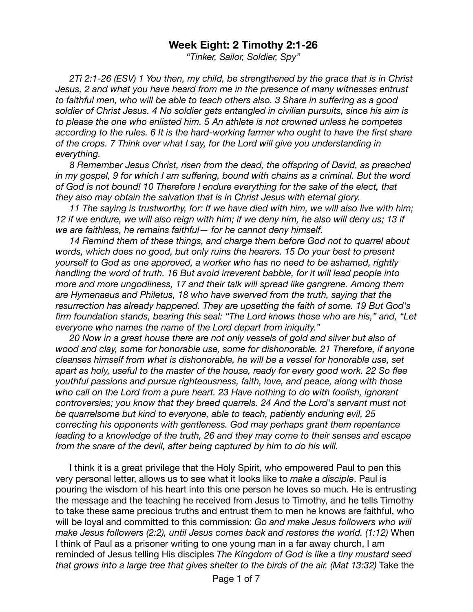## **Week Eight: 2 Timothy 2:1-26**

*"Tinker, Sailor, Soldier, Spy"* 

*2Ti 2:1-26 (ESV) 1 You then, my child, be strengthened by the grace that is in Christ Jesus, 2 and what you have heard from me in the presence of many witnesses entrust to faithful men, who will be able to teach others also. 3 Share in suffering as a good soldier of Christ Jesus. 4 No soldier gets entangled in civilian pursuits, since his aim is to please the one who enlisted him. 5 An athlete is not crowned unless he competes according to the rules. 6 It is the hard-working farmer who ought to have the first share of the crops. 7 Think over what I say, for the Lord will give you understanding in everything.* 

*8 Remember Jesus Christ, risen from the dead, the offspring of David, as preached in my gospel, 9 for which I am suffering, bound with chains as a criminal. But the word of God is not bound! 10 Therefore I endure everything for the sake of the elect, that they also may obtain the salvation that is in Christ Jesus with eternal glory.* 

*11 The saying is trustworthy, for: If we have died with him, we will also live with him; 12 if we endure, we will also reign with him; if we deny him, he also will deny us; 13 if we are faithless, he remains faithful— for he cannot deny himself.* 

*14 Remind them of these things, and charge them before God not to quarrel about words, which does no good, but only ruins the hearers. 15 Do your best to present yourself to God as one approved, a worker who has no need to be ashamed, rightly handling the word of truth. 16 But avoid irreverent babble, for it will lead people into more and more ungodliness, 17 and their talk will spread like gangrene. Among them are Hymenaeus and Philetus, 18 who have swerved from the truth, saying that the resurrection has already happened. They are upsetting the faith of some. 19 But God's firm foundation stands, bearing this seal: "The Lord knows those who are his," and, "Let everyone who names the name of the Lord depart from iniquity."* 

*20 Now in a great house there are not only vessels of gold and silver but also of wood and clay, some for honorable use, some for dishonorable. 21 Therefore, if anyone cleanses himself from what is dishonorable, he will be a vessel for honorable use, set apart as holy, useful to the master of the house, ready for every good work. 22 So flee youthful passions and pursue righteousness, faith, love, and peace, along with those who call on the Lord from a pure heart. 23 Have nothing to do with foolish, ignorant controversies; you know that they breed quarrels. 24 And the Lord's servant must not be quarrelsome but kind to everyone, able to teach, patiently enduring evil, 25 correcting his opponents with gentleness. God may perhaps grant them repentance leading to a knowledge of the truth, 26 and they may come to their senses and escape from the snare of the devil, after being captured by him to do his will.* 

I think it is a great privilege that the Holy Spirit, who empowered Paul to pen this very personal letter, allows us to see what it looks like to *make a disciple*. Paul is pouring the wisdom of his heart into this one person he loves so much. He is entrusting the message and the teaching he received from Jesus to Timothy, and he tells Timothy to take these same precious truths and entrust them to men he knows are faithful, who will be loyal and committed to this commission: *Go and make Jesus followers who will make Jesus followers (2:2), until Jesus comes back and restores the world. (1:12)* When I think of Paul as a prisoner writing to one young man in a far away church, I am reminded of Jesus telling His disciples *The Kingdom of God is like a tiny mustard seed that grows into a large tree that gives shelter to the birds of the air. (Mat 13:32)* Take the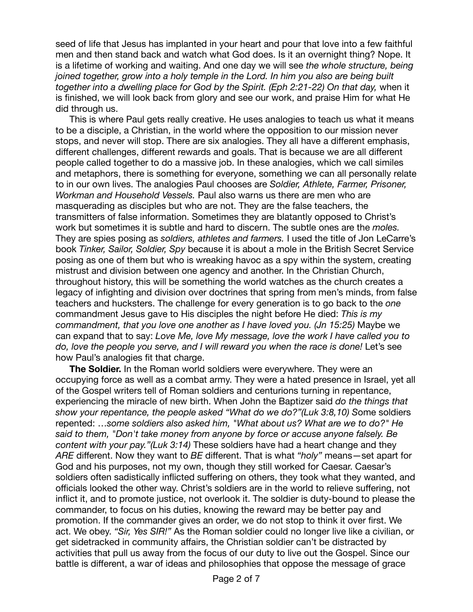seed of life that Jesus has implanted in your heart and pour that love into a few faithful men and then stand back and watch what God does. Is it an overnight thing? Nope. It is a lifetime of working and waiting. And one day we will see *the whole structure, being joined together, grow into a holy temple in the Lord. In him you also are being built together into a dwelling place for God by the Spirit. (Eph 2:21-22) On that day,* when it is finished, we will look back from glory and see our work, and praise Him for what He did through us.

This is where Paul gets really creative. He uses analogies to teach us what it means to be a disciple, a Christian, in the world where the opposition to our mission never stops, and never will stop. There are six analogies. They all have a different emphasis, different challenges, different rewards and goals. That is because we are all different people called together to do a massive job. In these analogies, which we call similes and metaphors, there is something for everyone, something we can all personally relate to in our own lives. The analogies Paul chooses are *Soldier, Athlete, Farmer, Prisoner, Workman and Household Vessels.* Paul also warns us there are men who are masquerading as disciples but who are not. They are the false teachers, the transmitters of false information. Sometimes they are blatantly opposed to Christ's work but sometimes it is subtle and hard to discern. The subtle ones are the *moles.*  They are spies posing as *soldiers, athletes and farmers.* I used the title of Jon LeCarre's book *Tinker, Sailor, Soldier, Spy* because it is about a mole in the British Secret Service posing as one of them but who is wreaking havoc as a spy within the system, creating mistrust and division between one agency and another. In the Christian Church, throughout history, this will be something the world watches as the church creates a legacy of infighting and division over doctrines that spring from men's minds, from false teachers and hucksters. The challenge for every generation is to go back to the *one*  commandment Jesus gave to His disciples the night before He died: *This is my commandment, that you love one another as I have loved you. (Jn 15:25)* Maybe we can expand that to say: *Love Me, love My message, love the work I have called you to*  do, love the people you serve, and I will reward you when the race is done! Let's see how Paul's analogies fit that charge.

**The Soldier.** In the Roman world soldiers were everywhere. They were an occupying force as well as a combat army. They were a hated presence in Israel, yet all of the Gospel writers tell of Roman soldiers and centurions turning in repentance, experiencing the miracle of new birth. When John the Baptizer said *do the things that show your repentance, the people asked "What do we do?"(Luk 3:8,10) S*ome soldiers repented: …*some soldiers also asked him, "What about us? What are we to do?" He said to them, "Don't take money from anyone by force or accuse anyone falsely. Be content with your pay."(Luk 3:14)* These soldiers have had a heart change and they *ARE* different. Now they want to *BE* different. That is what *"holy"* means—set apart for God and his purposes, not my own, though they still worked for Caesar. Caesar's soldiers often sadistically inflicted suffering on others, they took what they wanted, and officials looked the other way. Christ's soldiers are in the world to relieve suffering, not inflict it, and to promote justice, not overlook it. The soldier is duty-bound to please the commander, to focus on his duties, knowing the reward may be better pay and promotion. If the commander gives an order, we do not stop to think it over first. We act. We obey. *"Sir, Yes SIR!"* As the Roman soldier could no longer live like a civilian, or get sidetracked in community affairs, the Christian soldier can't be distracted by activities that pull us away from the focus of our duty to live out the Gospel. Since our battle is different, a war of ideas and philosophies that oppose the message of grace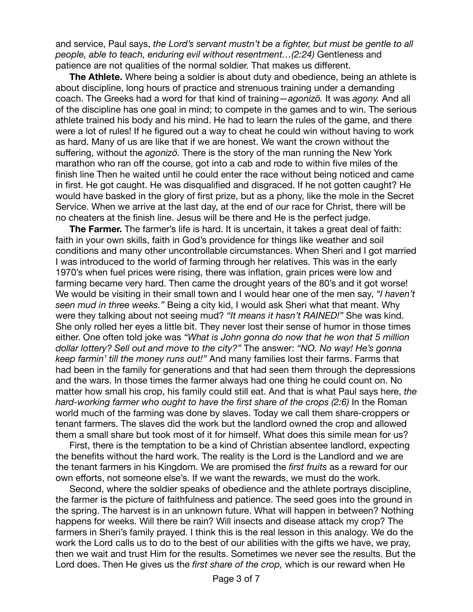and service, Paul says, *the Lord's servant mustn't be a fighter, but must be gentle to all people, able to teach, enduring evil without resentment…(2:24)* Gentleness and patience are not qualities of the normal soldier. That makes us different.

**The Athlete.** Where being a soldier is about duty and obedience, being an athlete is about discipline, long hours of practice and strenuous training under a demanding coach. The Greeks had a word for that kind of training—*agonizō.* It was *agony.* And all of the discipline has one goal in mind; to compete in the games and to win. The serious athlete trained his body and his mind. He had to learn the rules of the game, and there were a lot of rules! If he figured out a way to cheat he could win without having to work as hard. Many of us are like that if we are honest. We want the crown without the suffering, without the *agonizō.* There is the story of the man running the New York marathon who ran off the course, got into a cab and rode to within five miles of the finish line Then he waited until he could enter the race without being noticed and came in first. He got caught. He was disqualified and disgraced. If he not gotten caught? He would have basked in the glory of first prize, but as a phony, like the mole in the Secret Service. When we arrive at the last day, at the end of our race for Christ, there will be no cheaters at the finish line. Jesus will be there and He is the perfect judge.

**The Farmer.** The farmer's life is hard. It is uncertain, it takes a great deal of faith: faith in your own skills, faith in God's providence for things like weather and soil conditions and many other uncontrollable circumstances. When Sheri and I got married I was introduced to the world of farming through her relatives. This was in the early 1970's when fuel prices were rising, there was inflation, grain prices were low and farming became very hard. Then came the drought years of the 80's and it got worse! We would be visiting in their small town and I would hear one of the men say, *"I haven't seen mud in three weeks."* Being a city kid, I would ask Sheri what that meant. Why were they talking about not seeing mud? *"It means it hasn't RAINED!"* She was kind. She only rolled her eyes a little bit. They never lost their sense of humor in those times either. One often told joke was *"What is John gonna do now that he won that 5 million dollar lottery? Sell out and move to the city?"* The answer: *"NO. No way! He's gonna keep farmin' till the money runs out!"* And many families lost their farms. Farms that had been in the family for generations and that had seen them through the depressions and the wars. In those times the farmer always had one thing he could count on. No matter how small his crop, his family could still eat. And that is what Paul says here, *the hard-working farmer who ought to have the first share of the crops (2:6)* In the Roman world much of the farming was done by slaves. Today we call them share-croppers or tenant farmers. The slaves did the work but the landlord owned the crop and allowed them a small share but took most of it for himself. What does this simile mean for us? 

First, there is the temptation to be a kind of Christian absentee landlord, expecting the benefits without the hard work. The reality is the Lord is the Landlord and we are the tenant farmers in his Kingdom. We are promised the *first fruits* as a reward for our own efforts, not someone else's. If we want the rewards, we must do the work.

Second, where the soldier speaks of obedience and the athlete portrays discipline, the farmer is the picture of faithfulness and patience. The seed goes into the ground in the spring. The harvest is in an unknown future. What will happen in between? Nothing happens for weeks. Will there be rain? Will insects and disease attack my crop? The farmers in Sheri's family prayed. I think this is the real lesson in this analogy. We do the work the Lord calls us to do to the best of our abilities with the gifts we have, we pray, then we wait and trust Him for the results. Sometimes we never see the results. But the Lord does. Then He gives us the *first share of the crop,* which is our reward when He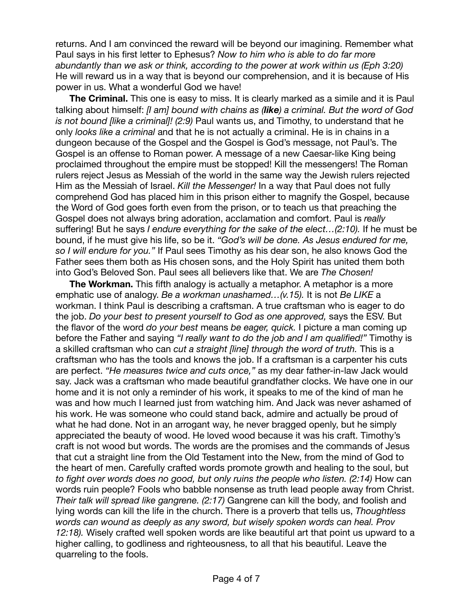returns. And I am convinced the reward will be beyond our imagining. Remember what Paul says in his first letter to Ephesus? *Now to him who is able to do far more abundantly than we ask or think, according to the power at work within us (Eph 3:20)*  He will reward us in a way that is beyond our comprehension, and it is because of His power in us. What a wonderful God we have!

**The Criminal.** This one is easy to miss. It is clearly marked as a simile and it is Paul talking about himself: *[I am] bound with chains as (like) a criminal. But the word of God is not bound [like a criminal]! (2:9)* Paul wants us, and Timothy, to understand that he only *looks like a criminal* and that he is not actually a criminal. He is in chains in a dungeon because of the Gospel and the Gospel is God's message, not Paul's. The Gospel is an offense to Roman power. A message of a new Caesar-like King being proclaimed throughout the empire must be stopped! Kill the messengers! The Roman rulers reject Jesus as Messiah of the world in the same way the Jewish rulers rejected Him as the Messiah of Israel. *Kill the Messenger!* In a way that Paul does not fully comprehend God has placed him in this prison either to magnify the Gospel, because the Word of God goes forth even from the prison, or to teach us that preaching the Gospel does not always bring adoration, acclamation and comfort. Paul is *really*  suffering! But he says *I endure everything for the sake of the elect…(2:10).* If he must be bound, if he must give his life, so be it. *"God's will be done. As Jesus endured for me, so I will endure for you."* If Paul sees Timothy as his dear son, he also knows God the Father sees them both as His chosen sons, and the Holy Spirit has united them both into God's Beloved Son. Paul sees all believers like that. We are *The Chosen!*

**The Workman.** This fifth analogy is actually a metaphor. A metaphor is a more emphatic use of analogy. *Be a workman unashamed…(v.15).* It is not *Be LIKE* a workman. I think Paul is describing a craftsman. A true craftsman who is eager to do the job. *Do your best to present yourself to God as one approved,* says the ESV. But the flavor of the word *do your best* means *be eager, quick.* I picture a man coming up before the Father and saying *"I really want to do the job and I am qualified!"* Timothy is a skilled craftsman who can *cut a straight [line] through the word of truth.* This is a craftsman who has the tools and knows the job. If a craftsman is a carpenter his cuts are perfect. *"He measures twice and cuts once,"* as my dear father-in-law Jack would say. Jack was a craftsman who made beautiful grandfather clocks. We have one in our home and it is not only a reminder of his work, it speaks to me of the kind of man he was and how much I learned just from watching him. And Jack was never ashamed of his work. He was someone who could stand back, admire and actually be proud of what he had done. Not in an arrogant way, he never bragged openly, but he simply appreciated the beauty of wood. He loved wood because it was his craft. Timothy's craft is not wood but words. The words are the promises and the commands of Jesus that cut a straight line from the Old Testament into the New, from the mind of God to the heart of men. Carefully crafted words promote growth and healing to the soul, but to fight over words does no good, but only ruins the people who listen. (2:14) How can words ruin people? Fools who babble nonsense as truth lead people away from Christ. *Their talk will spread like gangrene. (2:17)* Gangrene can kill the body, and foolish and lying words can kill the life in the church. There is a proverb that tells us, *Thoughtless words can wound as deeply as any sword, but wisely spoken words can heal. Prov 12:18).* Wisely crafted well spoken words are like beautiful art that point us upward to a higher calling, to godliness and righteousness, to all that his beautiful. Leave the quarreling to the fools.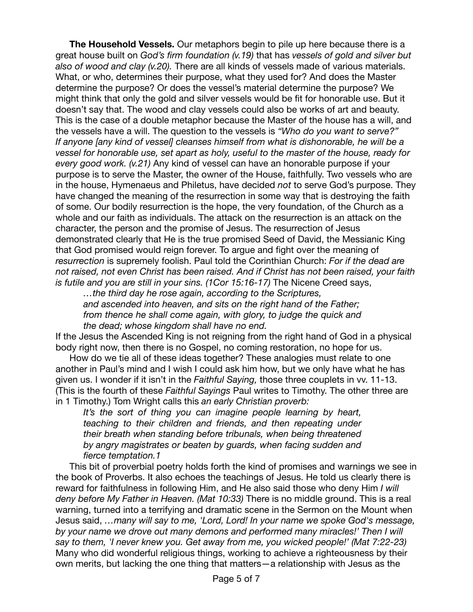**The Household Vessels.** Our metaphors begin to pile up here because there is a great house built on *God's firm foundation (v.19)* that has *vessels of gold and silver but also of wood and clay (v.20).* There are all kinds of vessels made of various materials. What, or who, determines their purpose, what they used for? And does the Master determine the purpose? Or does the vessel's material determine the purpose? We might think that only the gold and silver vessels would be fit for honorable use. But it doesn't say that. The wood and clay vessels could also be works of art and beauty. This is the case of a double metaphor because the Master of the house has a will, and the vessels have a will. The question to the vessels is *"Who do you want to serve?" If anyone [any kind of vessel] cleanses himself from what is dishonorable, he will be a vessel for honorable use, set apart as holy, useful to the master of the house, ready for every good work. (v.21)* Any kind of vessel can have an honorable purpose if your purpose is to serve the Master, the owner of the House, faithfully. Two vessels who are in the house, Hymenaeus and Philetus, have decided *not* to serve God's purpose. They have changed the meaning of the resurrection in some way that is destroying the faith of some. Our bodily resurrection is the hope, the very foundation, of the Church as a whole and our faith as individuals. The attack on the resurrection is an attack on the character, the person and the promise of Jesus. The resurrection of Jesus demonstrated clearly that He is the true promised Seed of David, the Messianic King that God promised would reign forever. To argue and fight over the meaning of *resurrection* is supremely foolish. Paul told the Corinthian Church: *For if the dead are not raised, not even Christ has been raised. And if Christ has not been raised, your faith*  is futile and you are still in your sins. (1Cor 15:16-17) The Nicene Creed says,

*…the third day he rose again, according to the Scriptures, and ascended into heaven, and sits on the right hand of the Father; from thence he shall come again, with glory, to judge the quick and the dead; whose kingdom shall have no end.* 

If the Jesus the Ascended King is not reigning from the right hand of God in a physical body right now, then there is no Gospel, no coming restoration, no hope for us.

How do we tie all of these ideas together? These analogies must relate to one another in Paul's mind and I wish I could ask him how, but we only have what he has given us. I wonder if it isn't in the *Faithful Saying,* those three couplets in vv. 11-13. (This is the fourth of these *Faithful Sayings* Paul writes to Timothy. The other three are in 1 Timothy.) Tom Wright calls this *an early Christian proverb:* 

*It's the sort of thing you can imagine people learning by heart, teaching to their children and friends, and then repeating under their breath when standing before tribunals, when being threatened by angry magistrates or beaten by guards, when facing sudden and fierce temptation.1* 

This bit of proverbial poetry holds forth the kind of promises and warnings we see in the book of Proverbs. It also echoes the teachings of Jesus. He told us clearly there is reward for faithfulness in following Him, and He also said those who deny Him *I will deny before My Father in Heaven. (Mat 10:33)* There is no middle ground. This is a real warning, turned into a terrifying and dramatic scene in the Sermon on the Mount when Jesus said, *…many will say to me, 'Lord, Lord! In your name we spoke God's message, by your name we drove out many demons and performed many miracles!' Then I will say to them, 'I never knew you. Get away from me, you wicked people!' (Mat 7:22-23)*  Many who did wonderful religious things, working to achieve a righteousness by their own merits, but lacking the one thing that matters—a relationship with Jesus as the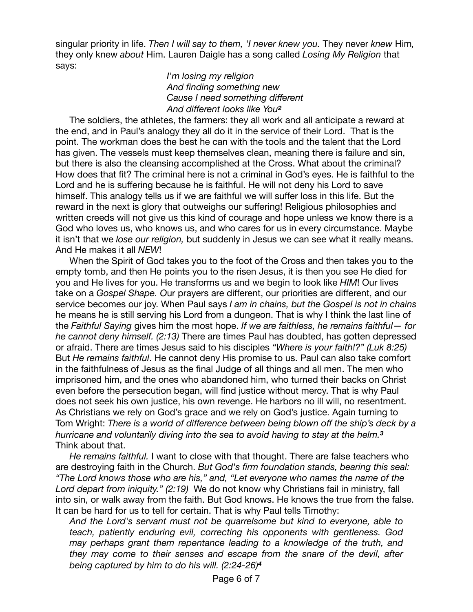singular priority in life. *Then I will say to them, 'I never knew you.* They never *knew* Him*,*  they only knew *about* Him. Lauren Daigle has a song called *Losing My Religion* that says:

## *I'm losing my religion And finding something new Cause I need something different And different looks like You<sup>2</sup>*

The soldiers, the athletes, the farmers: they all work and all anticipate a reward at the end, and in Paul's analogy they all do it in the service of their Lord. That is the point. The workman does the best he can with the tools and the talent that the Lord has given. The vessels must keep themselves clean, meaning there is failure and sin, but there is also the cleansing accomplished at the Cross. What about the criminal? How does that fit? The criminal here is not a criminal in God's eyes. He is faithful to the Lord and he is suffering because he is faithful. He will not deny his Lord to save himself. This analogy tells us if we are faithful we will suffer loss in this life. But the reward in the next is glory that outweighs our suffering! Religious philosophies and written creeds will not give us this kind of courage and hope unless we know there is a God who loves us, who knows us, and who cares for us in every circumstance. Maybe it isn't that we *lose our religion,* but suddenly in Jesus we can see what it really means. And He makes it all *NEW*!

When the Spirit of God takes you to the foot of the Cross and then takes you to the empty tomb, and then He points you to the risen Jesus, it is then you see He died for you and He lives for you. He transforms us and we begin to look like *HIM*! Our lives take on a *Gospel Shape. O*ur prayers are different, our priorities are different, and our service becomes our joy. When Paul says *I am in chains, but the Gospel is not in chains*  he means he is still serving his Lord from a dungeon. That is why I think the last line of the *Faithful Saying* gives him the most hope. *If we are faithless, he remains faithful— for he cannot deny himself. (2:13)* There are times Paul has doubted, has gotten depressed or afraid. There are times Jesus said to his disciples *"Where is your faith!?" (Luk 8:25)*  But *He remains faithful*. He cannot deny His promise to us. Paul can also take comfort in the faithfulness of Jesus as the final Judge of all things and all men. The men who imprisoned him, and the ones who abandoned him, who turned their backs on Christ even before the persecution began, will find justice without mercy. That is why Paul does not seek his own justice, his own revenge. He harbors no ill will, no resentment. As Christians we rely on God's grace and we rely on God's justice. Again turning to Tom Wright: *There is a world of difference between being blown off the ship's deck by a hurricane and voluntarily diving into the sea to avoid having to stay at the helm.<sup>3</sup>*  Think about that.

*He remains faithful.* I want to close with that thought. There are false teachers who are destroying faith in the Church. *But God's firm foundation stands, bearing this seal: "The Lord knows those who are his," and, "Let everyone who names the name of the Lord depart from iniquity." (2:19)* We do not know why Christians fail in ministry, fall into sin, or walk away from the faith. But God knows. He knows the true from the false. It can be hard for us to tell for certain. That is why Paul tells Timothy:

*And the Lord's servant must not be quarrelsome but kind to everyone, able to teach, patiently enduring evil, correcting his opponents with gentleness. God may perhaps grant them repentance leading to a knowledge of the truth, and they may come to their senses and escape from the snare of the devil, after being captured by him to do his will. (2:24-26)<sup>4</sup>*